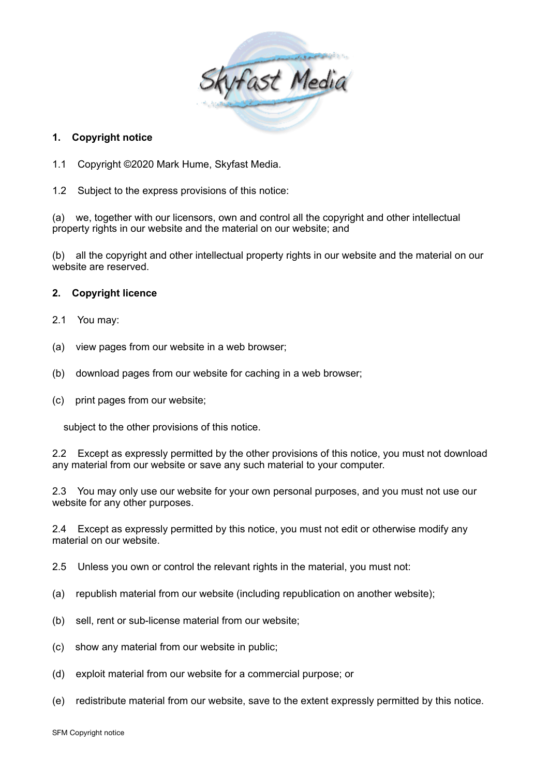

## **1. Copyright notice**

- 1.1 Copyright ©2020 Mark Hume, Skyfast Media.
- 1.2 Subject to the express provisions of this notice:

(a) we, together with our licensors, own and control all the copyright and other intellectual property rights in our website and the material on our website; and

(b) all the copyright and other intellectual property rights in our website and the material on our website are reserved.

# **2. Copyright licence**

- 2.1 You may:
- (a) view pages from our website in a web browser;
- (b) download pages from our website for caching in a web browser;
- (c) print pages from our website;

subject to the other provisions of this notice.

2.2 Except as expressly permitted by the other provisions of this notice, you must not download any material from our website or save any such material to your computer.

2.3 You may only use our website for your own personal purposes, and you must not use our website for any other purposes.

2.4 Except as expressly permitted by this notice, you must not edit or otherwise modify any material on our website.

2.5 Unless you own or control the relevant rights in the material, you must not:

- (a) republish material from our website (including republication on another website);
- (b) sell, rent or sub-license material from our website;
- (c) show any material from our website in public;
- (d) exploit material from our website for a commercial purpose; or
- (e) redistribute material from our website, save to the extent expressly permitted by this notice.